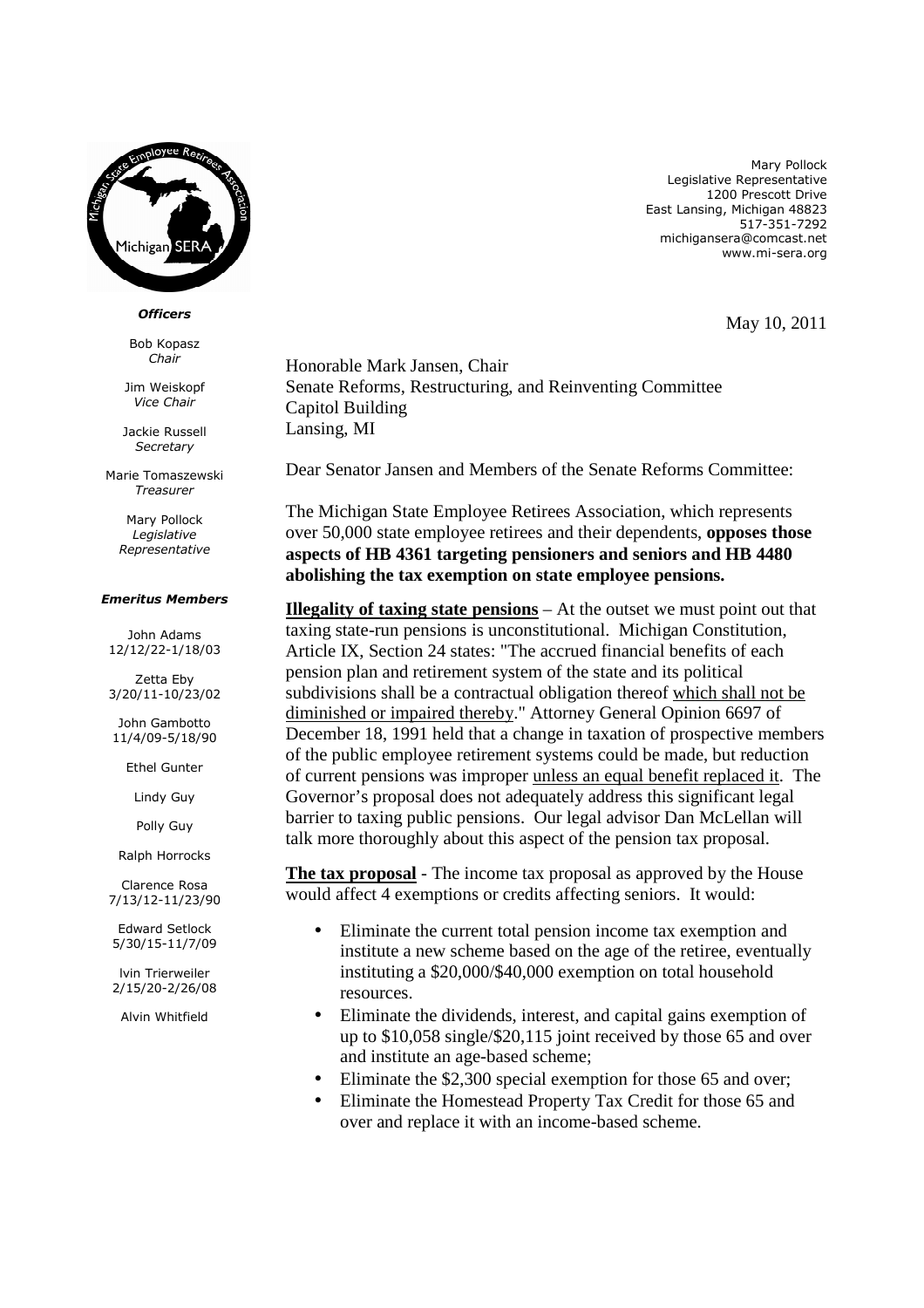

## *Officers*

Bob Kopasz *Chair* 

Jim Weiskopf *Vice Chair* 

Jackie Russell *Secretary* 

Marie Tomaszewski *Treasurer* 

> Mary Pollock *Legislative Representative*

## *Emeritus Members*

John Adams 12/12/22-1/18/03

Zetta Eby 3/20/11-10/23/02

John Gambotto 11/4/09-5/18/90

Ethel Gunter

Lindy Guy

Polly Guy

Ralph Horrocks

Clarence Rosa 7/13/12-11/23/90

Edward Setlock 5/30/15-11/7/09

lvin Trierweiler 2/15/20-2/26/08

Alvin Whitfield

Mary Pollock Legislative Representative 1200 Prescott Drive East Lansing, Michigan 48823 517-351-7292 michigansera@comcast.net www.mi-sera.org

May 10, 2011

Honorable Mark Jansen, Chair Senate Reforms, Restructuring, and Reinventing Committee Capitol Building Lansing, MI

Dear Senator Jansen and Members of the Senate Reforms Committee:

The Michigan State Employee Retirees Association, which represents over 50,000 state employee retirees and their dependents, **opposes those aspects of HB 4361 targeting pensioners and seniors and HB 4480 abolishing the tax exemption on state employee pensions.** 

**Illegality of taxing state pensions** – At the outset we must point out that taxing state-run pensions is unconstitutional. Michigan Constitution, Article IX, Section 24 states: "The accrued financial benefits of each pension plan and retirement system of the state and its political subdivisions shall be a contractual obligation thereof which shall not be diminished or impaired thereby." Attorney General Opinion 6697 of December 18, 1991 held that a change in taxation of prospective members of the public employee retirement systems could be made, but reduction of current pensions was improper unless an equal benefit replaced it. The Governor's proposal does not adequately address this significant legal barrier to taxing public pensions. Our legal advisor Dan McLellan will talk more thoroughly about this aspect of the pension tax proposal.

**The tax proposal** - The income tax proposal as approved by the House would affect 4 exemptions or credits affecting seniors. It would:

- Eliminate the current total pension income tax exemption and institute a new scheme based on the age of the retiree, eventually instituting a \$20,000/\$40,000 exemption on total household resources.
- Eliminate the dividends, interest, and capital gains exemption of up to \$10,058 single/\$20,115 joint received by those 65 and over and institute an age-based scheme;
- Eliminate the \$2,300 special exemption for those 65 and over;
- Eliminate the Homestead Property Tax Credit for those 65 and over and replace it with an income-based scheme.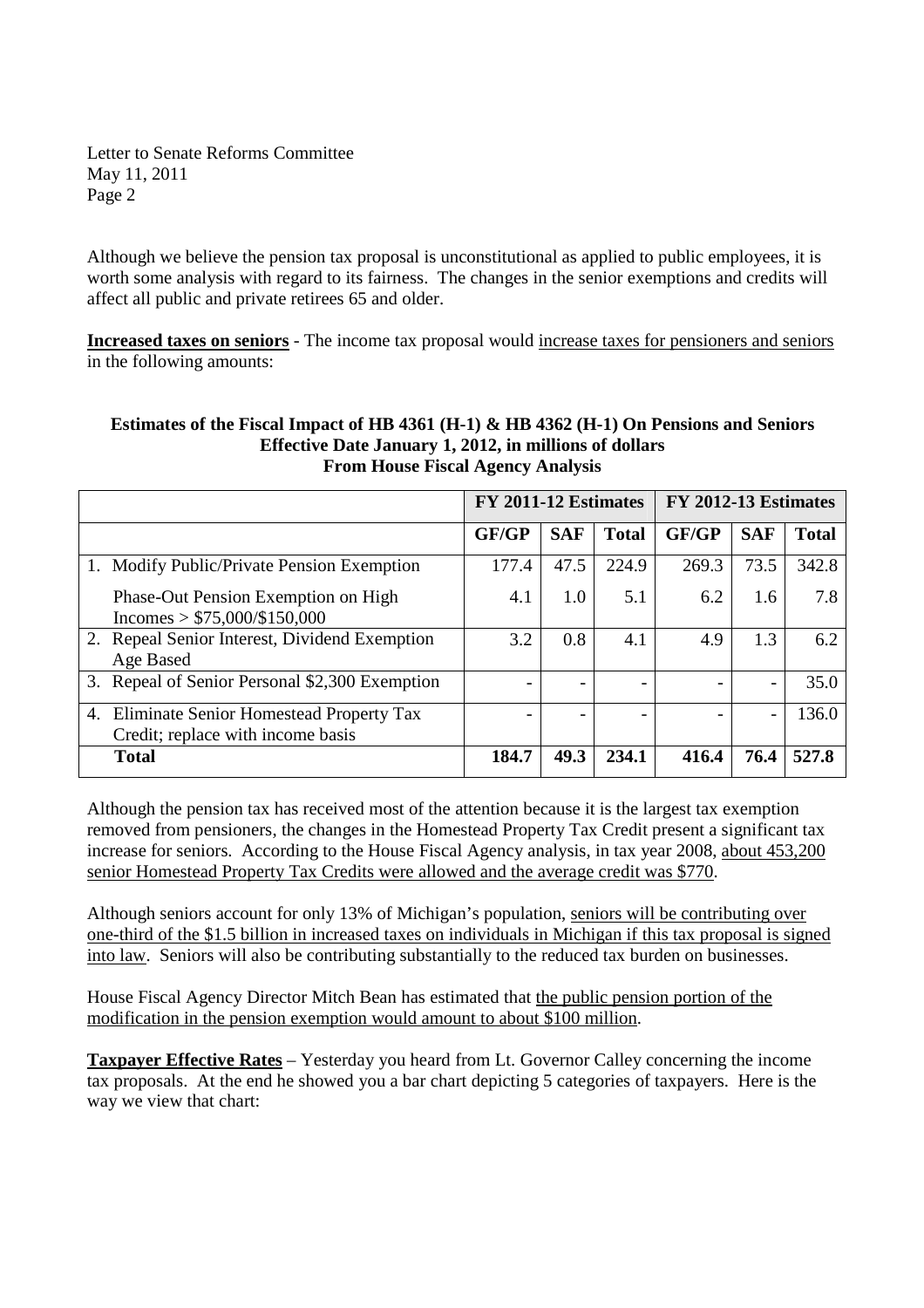Letter to Senate Reforms Committee May 11, 2011 Page 2

Although we believe the pension tax proposal is unconstitutional as applied to public employees, it is worth some analysis with regard to its fairness. The changes in the senior exemptions and credits will affect all public and private retirees 65 and older.

**Increased taxes on seniors** - The income tax proposal would increase taxes for pensioners and seniors in the following amounts:

## **Estimates of the Fiscal Impact of HB 4361 (H-1) & HB 4362 (H-1) On Pensions and Seniors Effective Date January 1, 2012, in millions of dollars From House Fiscal Agency Analysis**

|                                                                                    | FY 2011-12 Estimates |            |              | FY 2012-13 Estimates |                 |              |
|------------------------------------------------------------------------------------|----------------------|------------|--------------|----------------------|-----------------|--------------|
|                                                                                    | <b>GF/GP</b>         | <b>SAF</b> | <b>Total</b> | GF/GP                | <b>SAF</b>      | <b>Total</b> |
| 1. Modify Public/Private Pension Exemption                                         | 177.4                | 47.5       | 224.9        | 269.3                | 73.5            | 342.8        |
| Phase-Out Pension Exemption on High<br>$Incomes > $75,000/\$150,000$               | 4.1                  | 1.0        | 5.1          | 6.2                  | 1.6             | 7.8          |
| 2. Repeal Senior Interest, Dividend Exemption<br>Age Based                         | 3.2                  | 0.8        | 4.1          | 4.9                  | 1.3             | 6.2          |
| 3. Repeal of Senior Personal \$2,300 Exemption                                     |                      |            |              |                      |                 | 35.0         |
| 4.<br>Eliminate Senior Homestead Property Tax<br>Credit; replace with income basis |                      |            |              |                      | $\qquad \qquad$ | 136.0        |
| <b>Total</b>                                                                       | 184.7                | 49.3       | 234.1        | 416.4                | 76.4            | 527.8        |

Although the pension tax has received most of the attention because it is the largest tax exemption removed from pensioners, the changes in the Homestead Property Tax Credit present a significant tax increase for seniors. According to the House Fiscal Agency analysis, in tax year 2008, about 453,200 senior Homestead Property Tax Credits were allowed and the average credit was \$770.

Although seniors account for only 13% of Michigan's population, seniors will be contributing over one-third of the \$1.5 billion in increased taxes on individuals in Michigan if this tax proposal is signed into law. Seniors will also be contributing substantially to the reduced tax burden on businesses.

House Fiscal Agency Director Mitch Bean has estimated that the public pension portion of the modification in the pension exemption would amount to about \$100 million.

**Taxpayer Effective Rates** – Yesterday you heard from Lt. Governor Calley concerning the income tax proposals. At the end he showed you a bar chart depicting 5 categories of taxpayers. Here is the way we view that chart: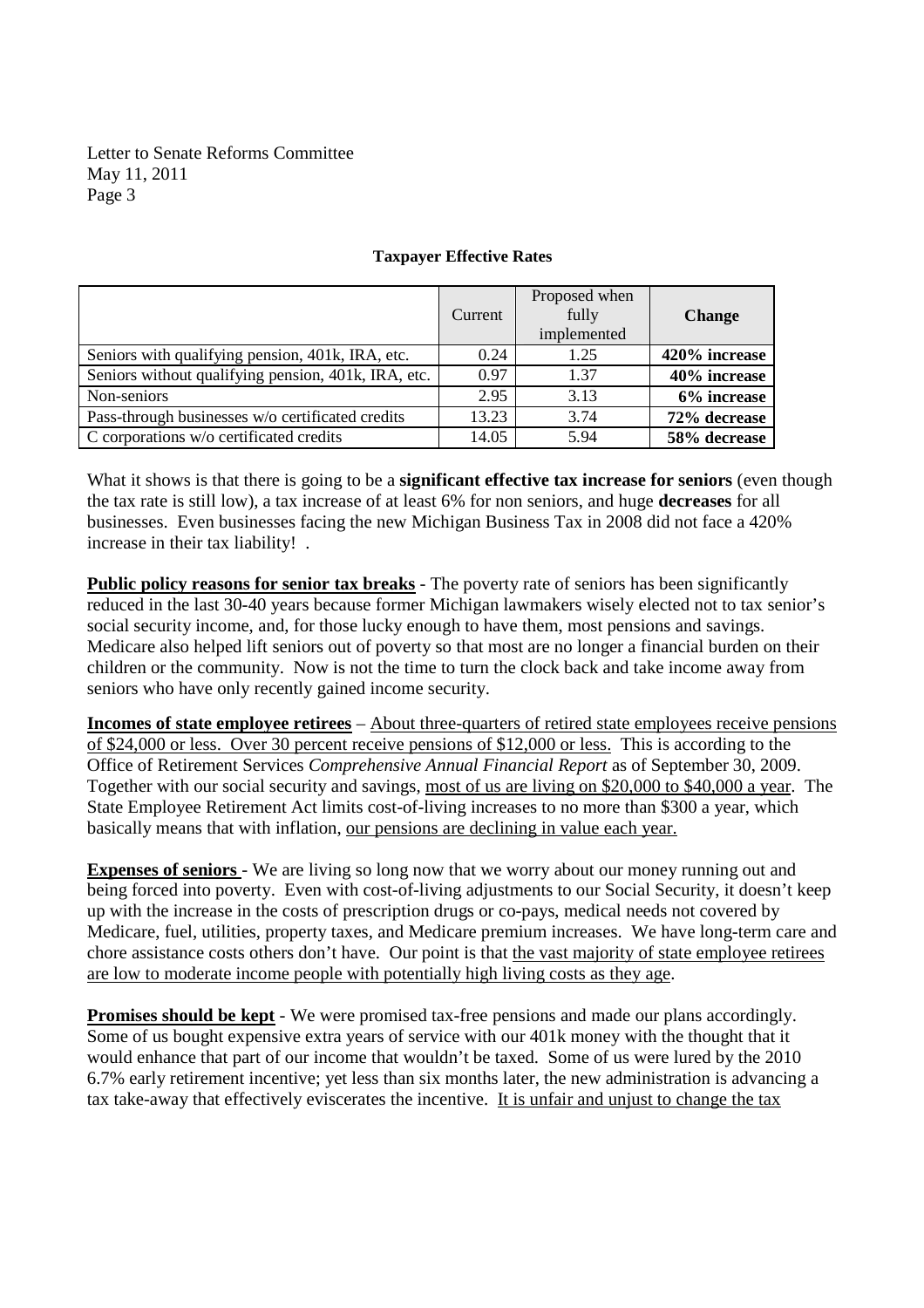Letter to Senate Reforms Committee May 11, 2011 Page 3

|                                                     | Current | Proposed when<br>fully<br>implemented | <b>Change</b> |
|-----------------------------------------------------|---------|---------------------------------------|---------------|
| Seniors with qualifying pension, 401k, IRA, etc.    | 0.24    | 1.25                                  | 420% increase |
| Seniors without qualifying pension, 401k, IRA, etc. | 0.97    | 1.37                                  | 40% increase  |
| Non-seniors                                         | 2.95    | 3.13                                  | 6% increase   |
| Pass-through businesses w/o certificated credits    | 13.23   | 3.74                                  | 72% decrease  |
| C corporations w/o certificated credits             | 14.05   | 5.94                                  | 58% decrease  |

## **Taxpayer Effective Rates**

What it shows is that there is going to be a **significant effective tax increase for seniors** (even though the tax rate is still low), a tax increase of at least 6% for non seniors, and huge **decreases** for all businesses. Even businesses facing the new Michigan Business Tax in 2008 did not face a 420% increase in their tax liability! .

**Public policy reasons for senior tax breaks** - The poverty rate of seniors has been significantly reduced in the last 30-40 years because former Michigan lawmakers wisely elected not to tax senior's social security income, and, for those lucky enough to have them, most pensions and savings. Medicare also helped lift seniors out of poverty so that most are no longer a financial burden on their children or the community. Now is not the time to turn the clock back and take income away from seniors who have only recently gained income security.

**Incomes of state employee retirees** – About three-quarters of retired state employees receive pensions of \$24,000 or less. Over 30 percent receive pensions of \$12,000 or less. This is according to the Office of Retirement Services *Comprehensive Annual Financial Report* as of September 30, 2009. Together with our social security and savings, most of us are living on \$20,000 to \$40,000 a year. The State Employee Retirement Act limits cost-of-living increases to no more than \$300 a year, which basically means that with inflation, our pensions are declining in value each year.

**Expenses of seniors** - We are living so long now that we worry about our money running out and being forced into poverty. Even with cost-of-living adjustments to our Social Security, it doesn't keep up with the increase in the costs of prescription drugs or co-pays, medical needs not covered by Medicare, fuel, utilities, property taxes, and Medicare premium increases. We have long-term care and chore assistance costs others don't have. Our point is that the vast majority of state employee retirees are low to moderate income people with potentially high living costs as they age.

**Promises should be kept** - We were promised tax-free pensions and made our plans accordingly. Some of us bought expensive extra years of service with our 401k money with the thought that it would enhance that part of our income that wouldn't be taxed. Some of us were lured by the 2010 6.7% early retirement incentive; yet less than six months later, the new administration is advancing a tax take-away that effectively eviscerates the incentive. It is unfair and unjust to change the tax